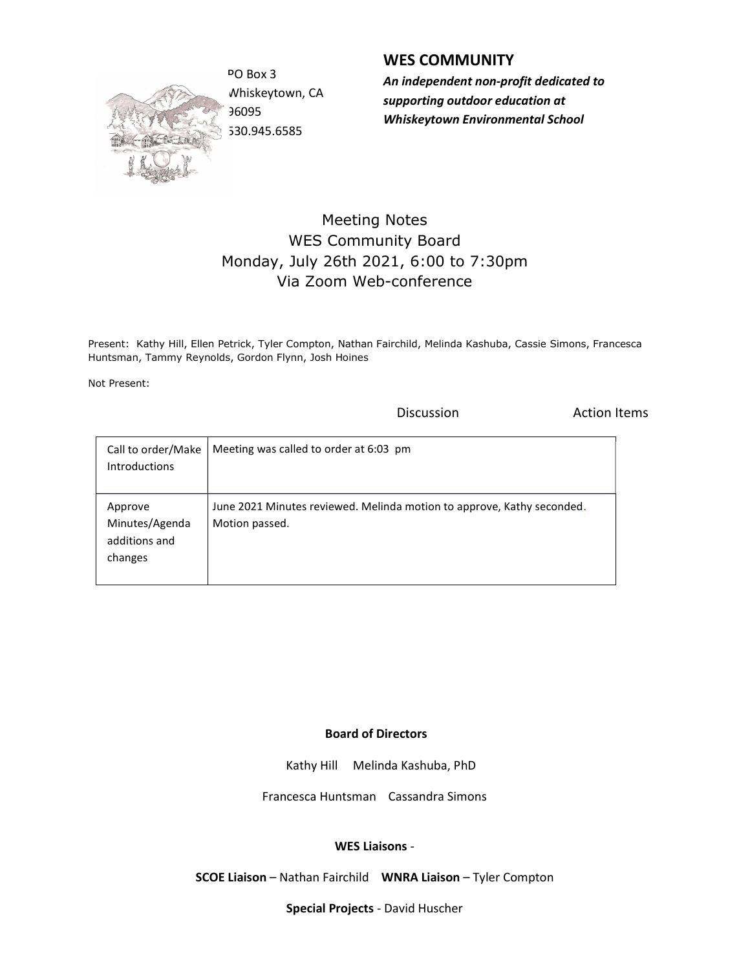

Whiskeytown, CA 96095 530.945.6585

## WES COMMUNITY

PO Box 3 **An independent non-profit dedicated to** supporting outdoor education at Whiskeytown Environmental School

## Meeting Notes WES Community Board Monday, July 26th 2021, 6:00 to 7:30pm Via Zoom Web-conference

Present: Kathy Hill, Ellen Petrick, Tyler Compton, Nathan Fairchild, Melinda Kashuba, Cassie Simons, Francesca Huntsman, Tammy Reynolds, Gordon Flynn, Josh Hoines

Not Present:

**Discussion Constanting Discussion Action Items** 

| Call to order/Make<br><b>Introductions</b>            | Meeting was called to order at 6:03 pm                                                   |
|-------------------------------------------------------|------------------------------------------------------------------------------------------|
| Approve<br>Minutes/Agenda<br>additions and<br>changes | June 2021 Minutes reviewed. Melinda motion to approve, Kathy seconded.<br>Motion passed. |

## Board of Directors

Kathy Hill Melinda Kashuba, PhD

Francesca Huntsman Cassandra Simons

## WES Liaisons -

SCOE Liaison – Nathan Fairchild WNRA Liaison – Tyler Compton

Special Projects - David Huscher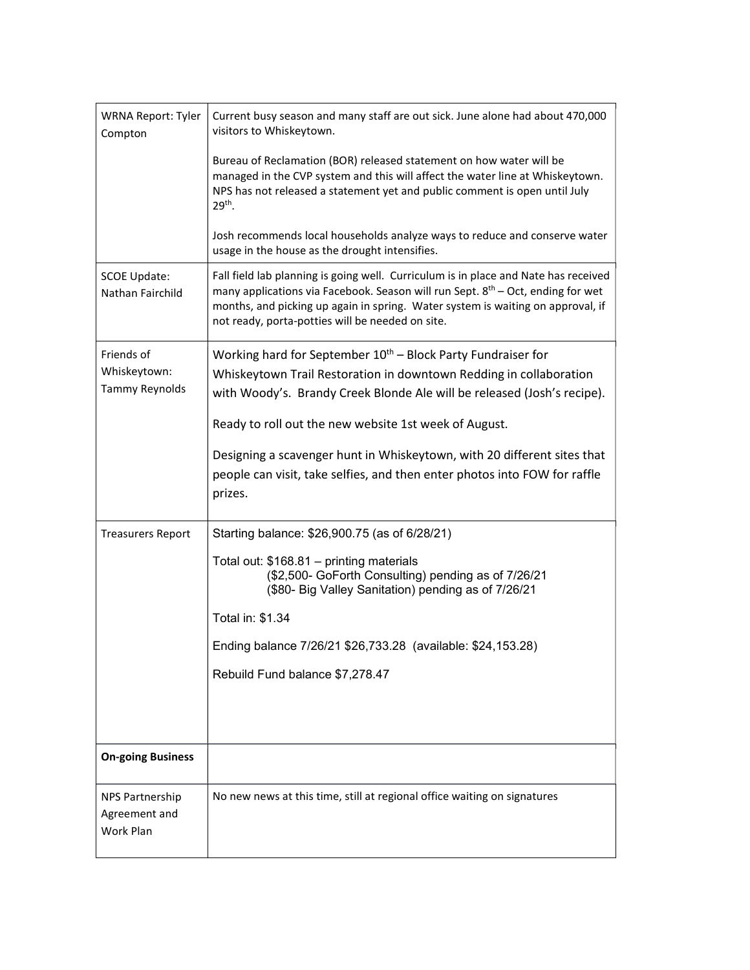| <b>WRNA Report: Tyler</b><br>Compton    | Current busy season and many staff are out sick. June alone had about 470,000<br>visitors to Whiskeytown.                                                                                                                                                                                                                 |
|-----------------------------------------|---------------------------------------------------------------------------------------------------------------------------------------------------------------------------------------------------------------------------------------------------------------------------------------------------------------------------|
|                                         | Bureau of Reclamation (BOR) released statement on how water will be<br>managed in the CVP system and this will affect the water line at Whiskeytown.<br>NPS has not released a statement yet and public comment is open until July<br>29 <sup>th</sup> .                                                                  |
|                                         | Josh recommends local households analyze ways to reduce and conserve water<br>usage in the house as the drought intensifies.                                                                                                                                                                                              |
| <b>SCOE Update:</b><br>Nathan Fairchild | Fall field lab planning is going well. Curriculum is in place and Nate has received<br>many applications via Facebook. Season will run Sept. 8 <sup>th</sup> – Oct, ending for wet<br>months, and picking up again in spring. Water system is waiting on approval, if<br>not ready, porta-potties will be needed on site. |
| Friends of                              | Working hard for September $10^{th}$ – Block Party Fundraiser for                                                                                                                                                                                                                                                         |
| Whiskeytown:                            | Whiskeytown Trail Restoration in downtown Redding in collaboration                                                                                                                                                                                                                                                        |
| Tammy Reynolds                          | with Woody's. Brandy Creek Blonde Ale will be released (Josh's recipe).                                                                                                                                                                                                                                                   |
|                                         | Ready to roll out the new website 1st week of August.                                                                                                                                                                                                                                                                     |
|                                         | Designing a scavenger hunt in Whiskeytown, with 20 different sites that                                                                                                                                                                                                                                                   |
|                                         | people can visit, take selfies, and then enter photos into FOW for raffle                                                                                                                                                                                                                                                 |
|                                         | prizes.                                                                                                                                                                                                                                                                                                                   |
| <b>Treasurers Report</b>                | Starting balance: \$26,900.75 (as of 6/28/21)                                                                                                                                                                                                                                                                             |
|                                         | Total out: \$168.81 - printing materials<br>(\$2,500- GoForth Consulting) pending as of 7/26/21<br>(\$80- Big Valley Sanitation) pending as of 7/26/21                                                                                                                                                                    |
|                                         | Total in: \$1.34                                                                                                                                                                                                                                                                                                          |
|                                         | Ending balance 7/26/21 \$26,733.28 (available: \$24,153.28)                                                                                                                                                                                                                                                               |
|                                         |                                                                                                                                                                                                                                                                                                                           |
|                                         | Rebuild Fund balance \$7,278.47                                                                                                                                                                                                                                                                                           |
|                                         |                                                                                                                                                                                                                                                                                                                           |
|                                         |                                                                                                                                                                                                                                                                                                                           |
| <b>On-going Business</b>                |                                                                                                                                                                                                                                                                                                                           |
| NPS Partnership                         | No new news at this time, still at regional office waiting on signatures                                                                                                                                                                                                                                                  |
| Agreement and<br>Work Plan              |                                                                                                                                                                                                                                                                                                                           |
|                                         |                                                                                                                                                                                                                                                                                                                           |